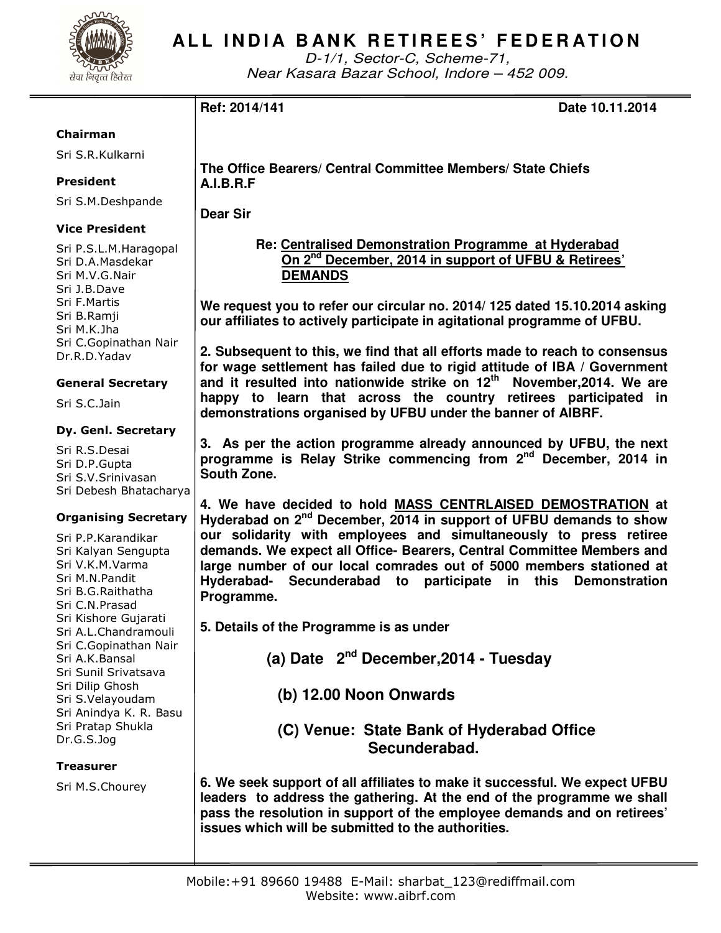

# **ALL INDIA BANK RETIREES' FEDERATION**

D-1/1, Sector-C, Scheme-71, Near Kasara Bazar School, Indore – 452 009.

**Ref: 2014/141** Date 10.11.2014

### Chairman

Sri S.R.Kulkarni

# President

Sri S.M.Deshpande

# Vice President

Sri P.S.L.M.Haragopal Sri D.A.Masdekar Sri M.V.G.Nair Sri J.B.Dave Sri F.Martis Sri B.Ramji Sri M.K.Jha Sri C.Gopinathan Nair Dr.R.D.Yadav

## General Secretary

Sri S.C.Jain

## Dy. Genl. Secretary

Sri R.S.Desai Sri D.P.Gupta Sri S.V.Srinivasan Sri Debesh Bhatacharya

## Organising Secretary

Sri P.P.Karandikar Sri Kalyan Sengupta Sri V.K.M.Varma Sri M.N.Pandit Sri B.G.Raithatha Sri C.N.Prasad Sri Kishore Gujarati Sri A.L.Chandramouli Sri C.Gopinathan Nair Sri A.K.Bansal Sri Sunil Srivatsava Sri Dilip Ghosh Sri S.Velayoudam Sri Anindya K. R. Basu Sri Pratap Shukla Dr.G.S.Jog

## Treasurer

Sri M.S.Chourey

**The Office Bearers/ Central Committee Members/ State Chiefs A.I.B.R.F** 

**Dear Sir** 

 **Re: Centralised Demonstration Programme at Hyderabad On 2nd December, 2014 in support of UFBU & Retirees' DEMANDS**

**We request you to refer our circular no. 2014/ 125 dated 15.10.2014 asking our affiliates to actively participate in agitational programme of UFBU.** 

**2. Subsequent to this, we find that all efforts made to reach to consensus for wage settlement has failed due to rigid attitude of IBA / Government and it resulted into nationwide strike on 12th November,2014. We are happy to learn that across the country retirees participated in demonstrations organised by UFBU under the banner of AIBRF.** 

**3. As per the action programme already announced by UFBU, the next programme is Relay Strike commencing from 2nd December, 2014 in South Zone.** 

**4. We have decided to hold MASS CENTRLAISED DEMOSTRATION at Hyderabad on 2nd December, 2014 in support of UFBU demands to show our solidarity with employees and simultaneously to press retiree demands. We expect all Office- Bearers, Central Committee Members and large number of our local comrades out of 5000 members stationed at Hyderabad- Secunderabad to participate in this Demonstration Programme.** 

**5. Details of the Programme is as under** 

 **(a) Date 2nd December,2014 - Tuesday** 

 **(b) 12.00 Noon Onwards** 

 **(C) Venue: State Bank of Hyderabad Office Secunderabad.** 

**6. We seek support of all affiliates to make it successful. We expect UFBU leaders to address the gathering. At the end of the programme we shall pass the resolution in support of the employee demands and on retirees' issues which will be submitted to the authorities.**